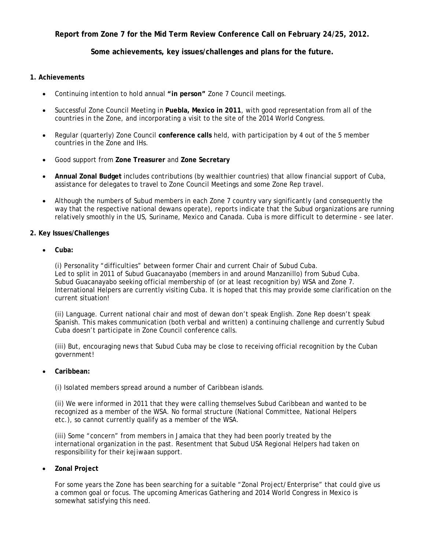# **Report from Zone 7 for the Mid Term Review Conference Call on February 24/25, 2012.**

## **Some achievements, key issues/challenges and plans for the future.**

#### **1. Achievements**

- Continuing intention to hold annual **"in person"** Zone 7 Council meetings.
- Successful Zone Council Meeting in **Puebla, Mexico in 2011**, with good representation from all of the countries in the Zone, and incorporating a visit to the site of the 2014 World Congress.
- Regular (quarterly) Zone Council **conference calls** held, with participation by 4 out of the 5 member countries in the Zone and IHs.
- Good support from **Zone Treasurer** and **Zone Secretary**
- **Annual Zonal Budget** includes contributions (by wealthier countries) that allow financial support of Cuba, assistance for delegates to travel to Zone Council Meetings and some Zone Rep travel.
- Although the numbers of Subud members in each Zone 7 country vary significantly (and consequently the way that the respective national dewans operate), reports indicate that the Subud organizations are running relatively smoothly in the US, Suriname, Mexico and Canada. Cuba is more difficult to determine - see later.

#### **2. Key Issues/Challenges**

• **Cuba:**

(i) Personality "difficulties" between former Chair and current Chair of Subud Cuba. Led to split in 2011 of Subud Guacanayabo (members in and around Manzanillo) from Subud Cuba. Subud Guacanayabo seeking official membership of (or at least recognition by) WSA and Zone 7. International Helpers are currently visiting Cuba. It is hoped that this may provide some clarification on the current situation!

(ii) Language. Current national chair and most of dewan don't speak English. Zone Rep doesn't speak Spanish. This makes communication (both verbal and written) a continuing challenge and currently Subud Cuba doesn't participate in Zone Council conference calls.

(iii) But, encouraging news that Subud Cuba may be close to receiving official recognition by the Cuban government!

### • **Caribbean:**

(i) Isolated members spread around a number of Caribbean islands.

(ii) We were informed in 2011 that they were calling themselves Subud Caribbean and wanted to be recognized as a member of the WSA. No formal structure (National Committee, National Helpers etc.), so cannot currently qualify as a member of the WSA.

(iii) Some "concern" from members in Jamaica that they had been poorly treated by the international organization in the past. Resentment that Subud USA Regional Helpers had taken on responsibility for their kejiwaan support.

• **Zonal Project**

For some years the Zone has been searching for a suitable "Zonal Project/Enterprise" that could give us a common goal or focus. The upcoming Americas Gathering and 2014 World Congress in Mexico is somewhat satisfying this need.